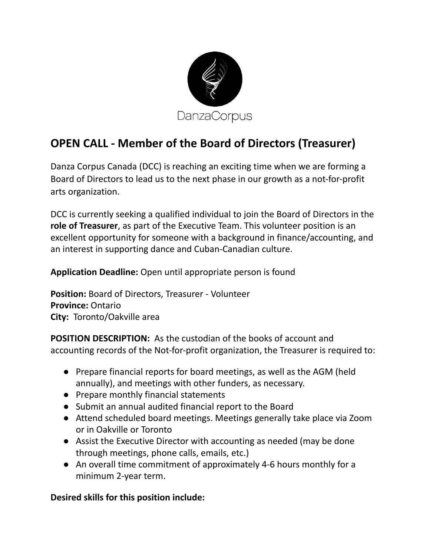

## **OPEN CALL - Member of the Board of Directors (Treasurer)**

Danza Corpus Canada (DCC) is reaching an exciting time when we are forming a Board of Directors to lead us to the next phase in our growth as a not-for-profit arts organization.

DCC is currently seeking a qualified individual to join the Board of Directors in the **role of Treasurer**, as part of the Executive Team. This volunteer position is an excellent opportunity for someone with a background in finance/accounting, and an interest in supporting dance and Cuban-Canadian culture.

**Application Deadline:** Open until appropriate person is found

**Position:** Board of Directors, Treasurer - Volunteer **Province:** Ontario **City:** Toronto/Oakville area

**POSITION DESCRIPTION:** As the custodian of the books of account and accounting records of the Not-for-profit organization, the Treasurer is required to:

- Prepare financial reports for board meetings, as well as the AGM (held annually), and meetings with other funders, as necessary.
- Prepare monthly financial statements
- Submit an annual audited financial report to the Board
- Attend scheduled board meetings. Meetings generally take place via Zoom or in Oakville or Toronto
- Assist the Executive Director with accounting as needed (may be done through meetings, phone calls, emails, etc.)
- An overall time commitment of approximately 4-6 hours monthly for a minimum 2-year term.

**Desired skills for this position include:**